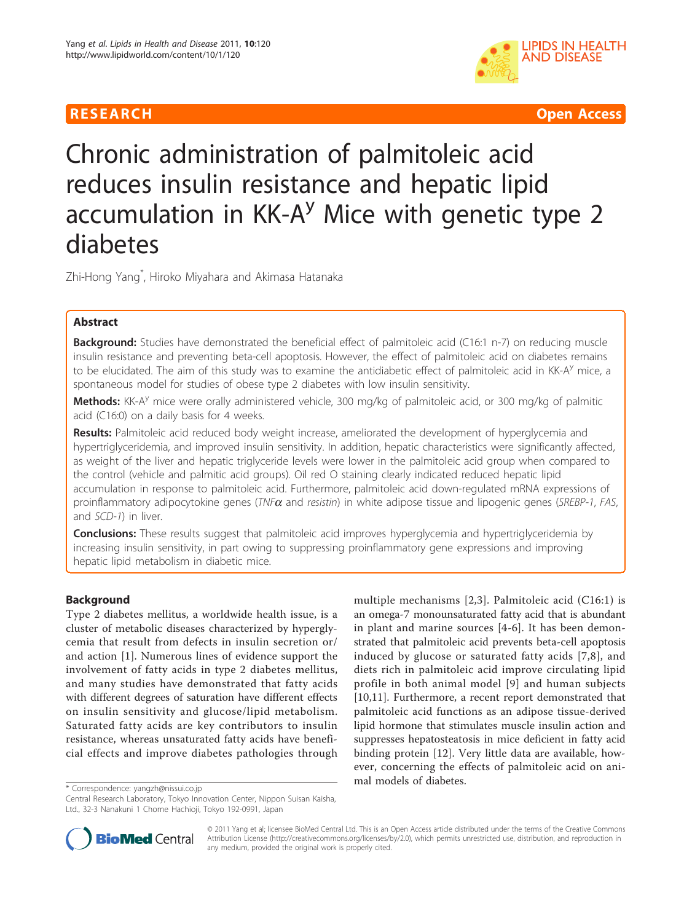

**RESEARCH Open Access** 

# Chronic administration of palmitoleic acid reduces insulin resistance and hepatic lipid accumulation in  $KK-A<sup>y</sup>$  Mice with genetic type 2 diabetes

Zhi-Hong Yang\* , Hiroko Miyahara and Akimasa Hatanaka

# Abstract

**Background:** Studies have demonstrated the beneficial effect of palmitoleic acid (C16:1 n-7) on reducing muscle insulin resistance and preventing beta-cell apoptosis. However, the effect of palmitoleic acid on diabetes remains to be elucidated. The aim of this study was to examine the antidiabetic effect of palmitoleic acid in KK-A<sup>y</sup> mice, a spontaneous model for studies of obese type 2 diabetes with low insulin sensitivity.

Methods: KK-A<sup>y</sup> mice were orally administered vehicle, 300 mg/kg of palmitoleic acid, or 300 mg/kg of palmitic acid (C16:0) on a daily basis for 4 weeks.

Results: Palmitoleic acid reduced body weight increase, ameliorated the development of hyperglycemia and hypertriglyceridemia, and improved insulin sensitivity. In addition, hepatic characteristics were significantly affected, as weight of the liver and hepatic triglyceride levels were lower in the palmitoleic acid group when compared to the control (vehicle and palmitic acid groups). Oil red O staining clearly indicated reduced hepatic lipid accumulation in response to palmitoleic acid. Furthermore, palmitoleic acid down-regulated mRNA expressions of proinflammatory adipocytokine genes ( $TNF\alpha$  and resistin) in white adipose tissue and lipogenic genes (SREBP-1, FAS, and SCD-1) in liver.

**Conclusions:** These results suggest that palmitoleic acid improves hyperglycemia and hypertriglyceridemia by increasing insulin sensitivity, in part owing to suppressing proinflammatory gene expressions and improving hepatic lipid metabolism in diabetic mice.

# Background

Type 2 diabetes mellitus, a worldwide health issue, is a cluster of metabolic diseases characterized by hyperglycemia that result from defects in insulin secretion or/ and action [[1\]](#page-6-0). Numerous lines of evidence support the involvement of fatty acids in type 2 diabetes mellitus, and many studies have demonstrated that fatty acids with different degrees of saturation have different effects on insulin sensitivity and glucose/lipid metabolism. Saturated fatty acids are key contributors to insulin resistance, whereas unsaturated fatty acids have beneficial effects and improve diabetes pathologies through

multiple mechanisms [[2](#page-6-0),[3\]](#page-6-0). Palmitoleic acid (C16:1) is an omega-7 monounsaturated fatty acid that is abundant in plant and marine sources [[4-6\]](#page-6-0). It has been demonstrated that palmitoleic acid prevents beta-cell apoptosis induced by glucose or saturated fatty acids [[7,8\]](#page-6-0), and diets rich in palmitoleic acid improve circulating lipid profile in both animal model [[9](#page-6-0)] and human subjects [[10,11\]](#page-6-0). Furthermore, a recent report demonstrated that palmitoleic acid functions as an adipose tissue-derived lipid hormone that stimulates muscle insulin action and suppresses hepatosteatosis in mice deficient in fatty acid binding protein [\[12\]](#page-6-0). Very little data are available, however, concerning the effects of palmitoleic acid on animal models of diabetes.

\* Correspondence: [yangzh@nissui.co.jp](mailto:yangzh@nissui.co.jp)

Central Research Laboratory, Tokyo Innovation Center, Nippon Suisan Kaisha, Ltd., 32-3 Nanakuni 1 Chome Hachioji, Tokyo 192-0991, Japan



© 2011 Yang et al; licensee BioMed Central Ltd. This is an Open Access article distributed under the terms of the Creative Commons Attribution License [\(http://creativecommons.org/licenses/by/2.0](http://creativecommons.org/licenses/by/2.0)), which permits unrestricted use, distribution, and reproduction in any medium, provided the original work is properly cited.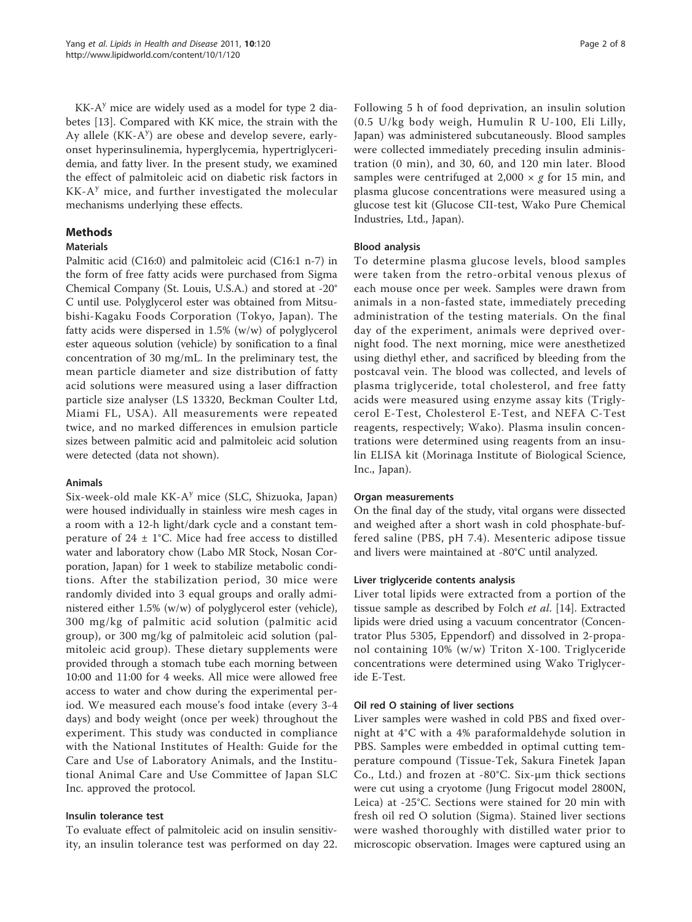$KK-A<sup>y</sup>$  mice are widely used as a model for type 2 diabetes [\[13](#page-6-0)]. Compared with KK mice, the strain with the Ay allele (KK-A<sup>y</sup>) are obese and develop severe, earlyonset hyperinsulinemia, hyperglycemia, hypertriglyceridemia, and fatty liver. In the present study, we examined the effect of palmitoleic acid on diabetic risk factors in  $KK-A<sup>y</sup>$  mice, and further investigated the molecular mechanisms underlying these effects.

# Methods

# **Materials**

Palmitic acid (C16:0) and palmitoleic acid (C16:1 n-7) in the form of free fatty acids were purchased from Sigma Chemical Company (St. Louis, U.S.A.) and stored at -20° C until use. Polyglycerol ester was obtained from Mitsubishi-Kagaku Foods Corporation (Tokyo, Japan). The fatty acids were dispersed in 1.5% (w/w) of polyglycerol ester aqueous solution (vehicle) by sonification to a final concentration of 30 mg/mL. In the preliminary test, the mean particle diameter and size distribution of fatty acid solutions were measured using a laser diffraction particle size analyser (LS 13320, Beckman Coulter Ltd, Miami FL, USA). All measurements were repeated twice, and no marked differences in emulsion particle sizes between palmitic acid and palmitoleic acid solution were detected (data not shown).

# Animals

Six-week-old male KK-A<sup>y</sup> mice (SLC, Shizuoka, Japan) were housed individually in stainless wire mesh cages in a room with a 12-h light/dark cycle and a constant temperature of  $24 \pm 1^{\circ}$ C. Mice had free access to distilled water and laboratory chow (Labo MR Stock, Nosan Corporation, Japan) for 1 week to stabilize metabolic conditions. After the stabilization period, 30 mice were randomly divided into 3 equal groups and orally administered either 1.5% (w/w) of polyglycerol ester (vehicle), 300 mg/kg of palmitic acid solution (palmitic acid group), or 300 mg/kg of palmitoleic acid solution (palmitoleic acid group). These dietary supplements were provided through a stomach tube each morning between 10:00 and 11:00 for 4 weeks. All mice were allowed free access to water and chow during the experimental period. We measured each mouse's food intake (every 3-4 days) and body weight (once per week) throughout the experiment. This study was conducted in compliance with the National Institutes of Health: Guide for the Care and Use of Laboratory Animals, and the Institutional Animal Care and Use Committee of Japan SLC Inc. approved the protocol.

# Insulin tolerance test

To evaluate effect of palmitoleic acid on insulin sensitivity, an insulin tolerance test was performed on day 22.

Following 5 h of food deprivation, an insulin solution (0.5 U/kg body weigh, Humulin R U-100, Eli Lilly, Japan) was administered subcutaneously. Blood samples were collected immediately preceding insulin administration (0 min), and 30, 60, and 120 min later. Blood samples were centrifuged at 2,000  $\times$  g for 15 min, and plasma glucose concentrations were measured using a glucose test kit (Glucose CII-test, Wako Pure Chemical Industries, Ltd., Japan).

# Blood analysis

To determine plasma glucose levels, blood samples were taken from the retro-orbital venous plexus of each mouse once per week. Samples were drawn from animals in a non-fasted state, immediately preceding administration of the testing materials. On the final day of the experiment, animals were deprived overnight food. The next morning, mice were anesthetized using diethyl ether, and sacrificed by bleeding from the postcaval vein. The blood was collected, and levels of plasma triglyceride, total cholesterol, and free fatty acids were measured using enzyme assay kits (Triglycerol E-Test, Cholesterol E-Test, and NEFA C-Test reagents, respectively; Wako). Plasma insulin concentrations were determined using reagents from an insulin ELISA kit (Morinaga Institute of Biological Science, Inc., Japan).

# Organ measurements

On the final day of the study, vital organs were dissected and weighed after a short wash in cold phosphate-buffered saline (PBS, pH 7.4). Mesenteric adipose tissue and livers were maintained at -80°C until analyzed.

# Liver triglyceride contents analysis

Liver total lipids were extracted from a portion of the tissue sample as described by Folch et al. [[14](#page-6-0)]. Extracted lipids were dried using a vacuum concentrator (Concentrator Plus 5305, Eppendorf) and dissolved in 2-propanol containing 10% (w/w) Triton X-100. Triglyceride concentrations were determined using Wako Triglyceride E-Test.

### Oil red O staining of liver sections

Liver samples were washed in cold PBS and fixed overnight at 4°C with a 4% paraformaldehyde solution in PBS. Samples were embedded in optimal cutting temperature compound (Tissue-Tek, Sakura Finetek Japan Co., Ltd.) and frozen at -80°C. Six-μm thick sections were cut using a cryotome (Jung Frigocut model 2800N, Leica) at -25°C. Sections were stained for 20 min with fresh oil red O solution (Sigma). Stained liver sections were washed thoroughly with distilled water prior to microscopic observation. Images were captured using an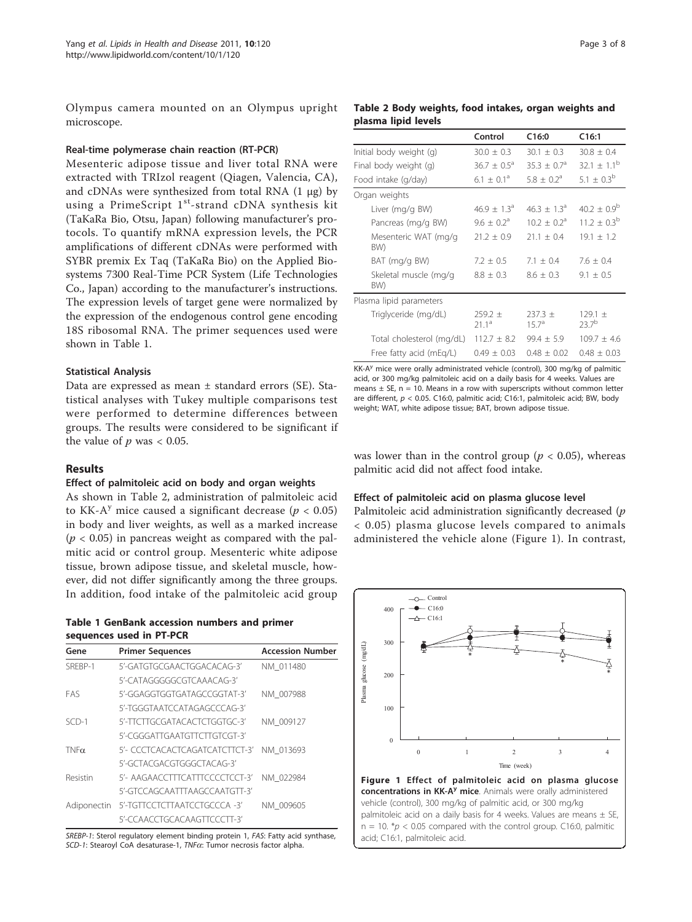<span id="page-2-0"></span>Olympus camera mounted on an Olympus upright microscope.

# Real-time polymerase chain reaction (RT-PCR)

Mesenteric adipose tissue and liver total RNA were extracted with TRIzol reagent (Qiagen, Valencia, CA), and cDNAs were synthesized from total RNA  $(1 \mu g)$  by using a PrimeScript  $1^{st}$ -strand cDNA synthesis kit (TaKaRa Bio, Otsu, Japan) following manufacturer's protocols. To quantify mRNA expression levels, the PCR amplifications of different cDNAs were performed with SYBR premix Ex Taq (TaKaRa Bio) on the Applied Biosystems 7300 Real-Time PCR System (Life Technologies Co., Japan) according to the manufacturer's instructions. The expression levels of target gene were normalized by the expression of the endogenous control gene encoding 18S ribosomal RNA. The primer sequences used were shown in Table 1.

# Statistical Analysis

Data are expressed as mean ± standard errors (SE). Statistical analyses with Tukey multiple comparisons test were performed to determine differences between groups. The results were considered to be significant if the value of  $p$  was  $< 0.05$ .

# Results

# Effect of palmitoleic acid on body and organ weights

As shown in Table 2, administration of palmitoleic acid to KK-A<sup>y</sup> mice caused a significant decrease ( $p < 0.05$ ) in body and liver weights, as well as a marked increase  $(p < 0.05)$  in pancreas weight as compared with the palmitic acid or control group. Mesenteric white adipose tissue, brown adipose tissue, and skeletal muscle, however, did not differ significantly among the three groups. In addition, food intake of the palmitoleic acid group

Table 1 GenBank accession numbers and primer sequences used in PT-PCR

| Gene        | <b>Primer Sequences</b>        | <b>Accession Number</b> |
|-------------|--------------------------------|-------------------------|
| SRFBP-1     | 5'-GATGTGCGAACTGGACACAG-3'     | NM 011480               |
|             | 5'-CATAGGGGGCGTCAAACAG-3'      |                         |
| FAS         | 5'-GGAGGTGGTGATAGCCGGTAT-3'    | NM 007988               |
|             | 5'-TGGGTAATCCATAGAGCCCAG-3'    |                         |
| $SCD-1$     | 5'-TTCTTGCGATACACTCTGGTGC-3'   | NM 009127               |
|             | 5'-CGGGATTGAATGTTCTTGTCGT-3'   |                         |
| $TNF\alpha$ | 5'- CCCTCACACTCAGATCATCTTCT-3' | NM 013693               |
|             | 5'-GCTACGACGTGGGCTACAG-3'      |                         |
| Resistin    | 5'- AAGAACCTTTCATTTCCCCTCCT-3' | NM 022984               |
|             | 5'-GTCCAGCAATTTAAGCCAATGTT-3'  |                         |
| Adiponectin | 5'-TGTTCCTCTTAATCCTGCCCA -3'   | NM 009605               |
|             | 5'-CCAACCTGCACAAGTTCCCTT-3'    |                         |

SREBP-1: Sterol regulatory element binding protein 1, FAS: Fatty acid synthase, SCD-1: Stearoyl CoA desaturase-1, TNFa: Tumor necrosis factor alpha.

# Table 2 Body weights, food intakes, organ weights and plasma lipid levels

|                              | Control                       | C16:0                            | C16:1                         |
|------------------------------|-------------------------------|----------------------------------|-------------------------------|
| Initial body weight (g)      | $30.0 + 0.3$                  | $30.1 \pm 0.3$                   | $30.8 + 0.4$                  |
| Final body weight (g)        | $36.7 + 0.5^{\circ}$          | $35.3 + 0.7a$                    | $32.1 + 1.1^{b}$              |
| Food intake (g/day)          | $6.1 + 0.1a$                  | $5.8 + 0.2a$                     | 5.1 $\pm$ 0.3 <sup>b</sup>    |
| Organ weights                |                               |                                  |                               |
| Liver (mg/g BW)              | $46.9 + 1.3a$                 | $46.3 + 1.3a$                    | $40.2 \pm 0.9^{\circ}$        |
| Pancreas (mg/g BW)           | $9.6 + 0.2a$                  | $10.2 \pm 0.2^{\circ}$           | $11.2 + 0.3^{b}$              |
| Mesenteric WAT (mg/g<br>BW)  | $21.2 + 0.9$                  | $21.1 + 0.4$                     | $19.1 \pm 1.2$                |
| BAT (mg/g BW)                | $7.2 \pm 0.5$                 | $7.1 + 0.4$                      | $7.6 \pm 0.4$                 |
| Skeletal muscle (mg/g<br>BW) | $8.8 \pm 0.3$                 | $8.6 \pm 0.3$                    | $9.1 \pm 0.5$                 |
| Plasma lipid parameters      |                               |                                  |                               |
| Triglyceride (mg/dL)         | $259.2 +$<br>211 <sup>a</sup> | $237.3 \pm$<br>15.7 <sup>a</sup> | $129.1 +$<br>237 <sup>b</sup> |
| Total cholesterol (mg/dL)    | $112.7 \pm 8.2$               | $99.4 \pm 5.9$                   | $109.7 \pm 4.6$               |
| Free fatty acid (mEg/L)      | $0.49 \pm 0.03$               | $0.48 \pm 0.02$                  | $0.48 + 0.03$                 |

KK- $A<sup>y</sup>$  mice were orally administrated vehicle (control), 300 mg/kg of palmitic acid, or 300 mg/kg palmitoleic acid on a daily basis for 4 weeks. Values are means  $\pm$  SE, n = 10. Means in a row with superscripts without common letter are different,  $p < 0.05$ . C16:0, palmitic acid; C16:1, palmitoleic acid; BW, body weight; WAT, white adipose tissue; BAT, brown adipose tissue.

was lower than in the control group ( $p < 0.05$ ), whereas palmitic acid did not affect food intake.

### Effect of palmitoleic acid on plasma glucose level

Palmitoleic acid administration significantly decreased  $(p)$ < 0.05) plasma glucose levels compared to animals administered the vehicle alone (Figure 1). In contrast,

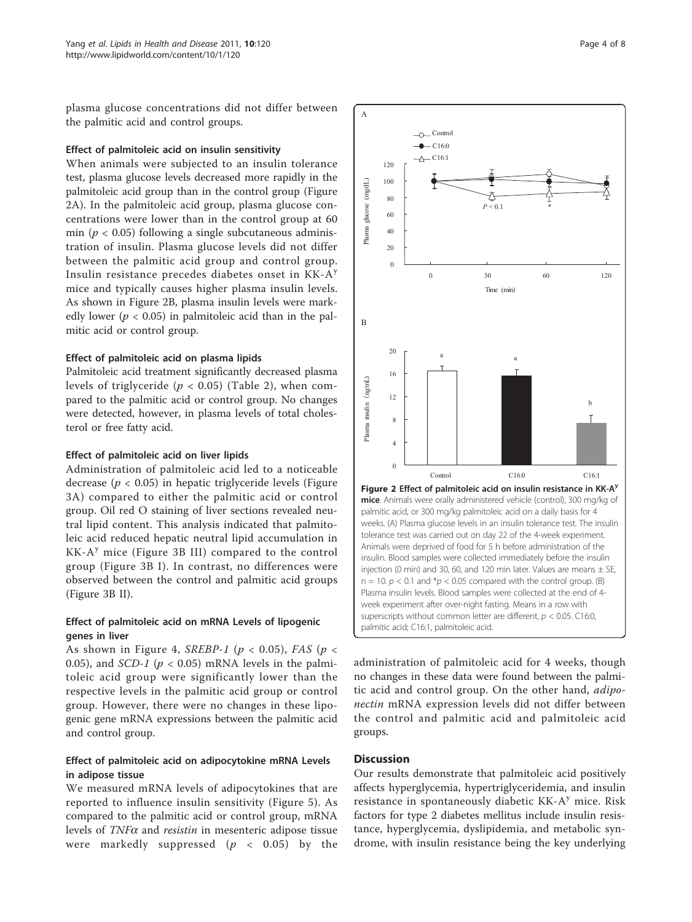plasma glucose concentrations did not differ between the palmitic acid and control groups.

# Effect of palmitoleic acid on insulin sensitivity

When animals were subjected to an insulin tolerance test, plasma glucose levels decreased more rapidly in the palmitoleic acid group than in the control group (Figure 2A). In the palmitoleic acid group, plasma glucose concentrations were lower than in the control group at 60 min ( $p < 0.05$ ) following a single subcutaneous administration of insulin. Plasma glucose levels did not differ between the palmitic acid group and control group. Insulin resistance precedes diabetes onset in  $KK-A<sup>y</sup>$ mice and typically causes higher plasma insulin levels. As shown in Figure 2B, plasma insulin levels were markedly lower ( $p < 0.05$ ) in palmitoleic acid than in the palmitic acid or control group.

# Effect of palmitoleic acid on plasma lipids

Palmitoleic acid treatment significantly decreased plasma levels of triglyceride ( $p < 0.05$ ) (Table [2](#page-2-0)), when compared to the palmitic acid or control group. No changes were detected, however, in plasma levels of total cholesterol or free fatty acid.

# Effect of palmitoleic acid on liver lipids

Administration of palmitoleic acid led to a noticeable decrease ( $p < 0.05$ ) in hepatic triglyceride levels (Figure [3A](#page-4-0)) compared to either the palmitic acid or control group. Oil red O staining of liver sections revealed neutral lipid content. This analysis indicated that palmitoleic acid reduced hepatic neutral lipid accumulation in  $KK-A<sup>y</sup>$  mice (Figure [3B III\)](#page-4-0) compared to the control group (Figure [3B I\)](#page-4-0). In contrast, no differences were observed between the control and palmitic acid groups (Figure [3B II](#page-4-0)).

# Effect of palmitoleic acid on mRNA Levels of lipogenic genes in liver

As shown in Figure [4,](#page-4-0) SREBP-1 ( $p < 0.05$ ), FAS ( $p <$ 0.05), and *SCD-1* ( $p < 0.05$ ) mRNA levels in the palmitoleic acid group were significantly lower than the respective levels in the palmitic acid group or control group. However, there were no changes in these lipogenic gene mRNA expressions between the palmitic acid and control group.

# Effect of palmitoleic acid on adipocytokine mRNA Levels in adipose tissue

We measured mRNA levels of adipocytokines that are reported to influence insulin sensitivity (Figure [5](#page-5-0)). As compared to the palmitic acid or control group, mRNA levels of  $TNF\alpha$  and *resistin* in mesenteric adipose tissue were markedly suppressed ( $p < 0.05$ ) by the



administration of palmitoleic acid for 4 weeks, though no changes in these data were found between the palmitic acid and control group. On the other hand, *adipo*nectin mRNA expression levels did not differ between the control and palmitic acid and palmitoleic acid groups.

# **Discussion**

Our results demonstrate that palmitoleic acid positively affects hyperglycemia, hypertriglyceridemia, and insulin resistance in spontaneously diabetic  $KK-A<sup>y</sup>$  mice. Risk factors for type 2 diabetes mellitus include insulin resistance, hyperglycemia, dyslipidemia, and metabolic syn-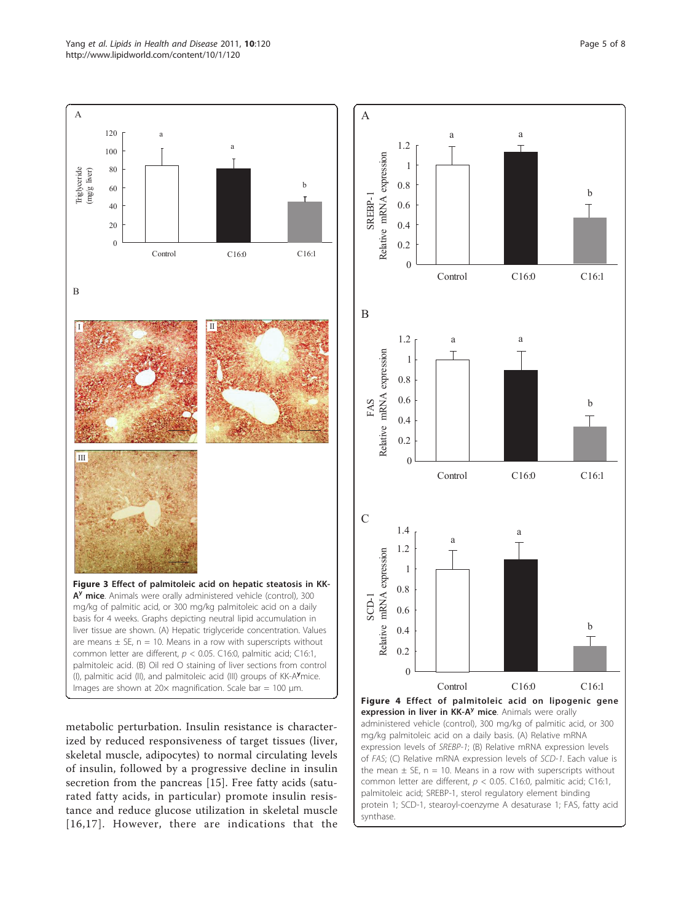<span id="page-4-0"></span>Yang et al. Lipids in Health and Disease 2011, 10:120 http://www.lipidworld.com/content/10/1/120



metabolic perturbation. Insulin resistance is characterized by reduced responsiveness of target tissues (liver, skeletal muscle, adipocytes) to normal circulating levels of insulin, followed by a progressive decline in insulin secretion from the pancreas [[15\]](#page-6-0). Free fatty acids (saturated fatty acids, in particular) promote insulin resistance and reduce glucose utilization in skeletal muscle [[16](#page-6-0),[17](#page-7-0)]. However, there are indications that the

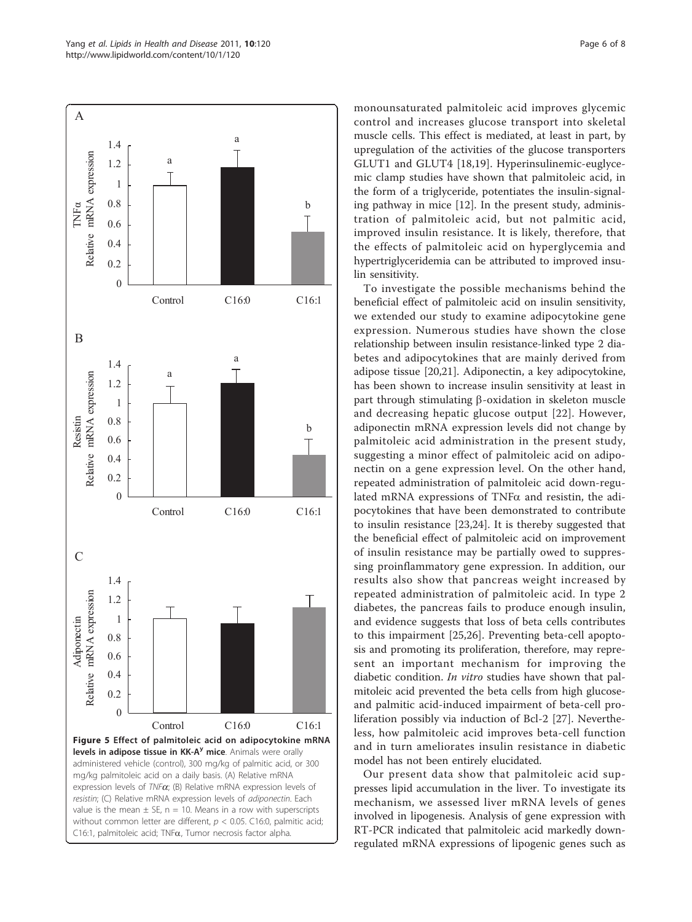<span id="page-5-0"></span>

monounsaturated palmitoleic acid improves glycemic control and increases glucose transport into skeletal muscle cells. This effect is mediated, at least in part, by upregulation of the activities of the glucose transporters GLUT1 and GLUT4 [[18](#page-7-0),[19\]](#page-7-0). Hyperinsulinemic-euglycemic clamp studies have shown that palmitoleic acid, in the form of a triglyceride, potentiates the insulin-signaling pathway in mice [\[12](#page-6-0)]. In the present study, administration of palmitoleic acid, but not palmitic acid, improved insulin resistance. It is likely, therefore, that the effects of palmitoleic acid on hyperglycemia and hypertriglyceridemia can be attributed to improved insulin sensitivity.

To investigate the possible mechanisms behind the beneficial effect of palmitoleic acid on insulin sensitivity, we extended our study to examine adipocytokine gene expression. Numerous studies have shown the close relationship between insulin resistance-linked type 2 diabetes and adipocytokines that are mainly derived from adipose tissue [\[20,21](#page-7-0)]. Adiponectin, a key adipocytokine, has been shown to increase insulin sensitivity at least in part through stimulating  $\beta$ -oxidation in skeleton muscle and decreasing hepatic glucose output [[22\]](#page-7-0). However, adiponectin mRNA expression levels did not change by palmitoleic acid administration in the present study, suggesting a minor effect of palmitoleic acid on adiponectin on a gene expression level. On the other hand, repeated administration of palmitoleic acid down-regulated mRNA expressions of  $TNF\alpha$  and resistin, the adipocytokines that have been demonstrated to contribute to insulin resistance [[23,24\]](#page-7-0). It is thereby suggested that the beneficial effect of palmitoleic acid on improvement of insulin resistance may be partially owed to suppressing proinflammatory gene expression. In addition, our results also show that pancreas weight increased by repeated administration of palmitoleic acid. In type 2 diabetes, the pancreas fails to produce enough insulin, and evidence suggests that loss of beta cells contributes to this impairment [[25,26\]](#page-7-0). Preventing beta-cell apoptosis and promoting its proliferation, therefore, may represent an important mechanism for improving the diabetic condition. In vitro studies have shown that palmitoleic acid prevented the beta cells from high glucoseand palmitic acid-induced impairment of beta-cell proliferation possibly via induction of Bcl-2 [[27\]](#page-7-0). Nevertheless, how palmitoleic acid improves beta-cell function and in turn ameliorates insulin resistance in diabetic model has not been entirely elucidated.

Our present data show that palmitoleic acid suppresses lipid accumulation in the liver. To investigate its mechanism, we assessed liver mRNA levels of genes involved in lipogenesis. Analysis of gene expression with RT-PCR indicated that palmitoleic acid markedly downregulated mRNA expressions of lipogenic genes such as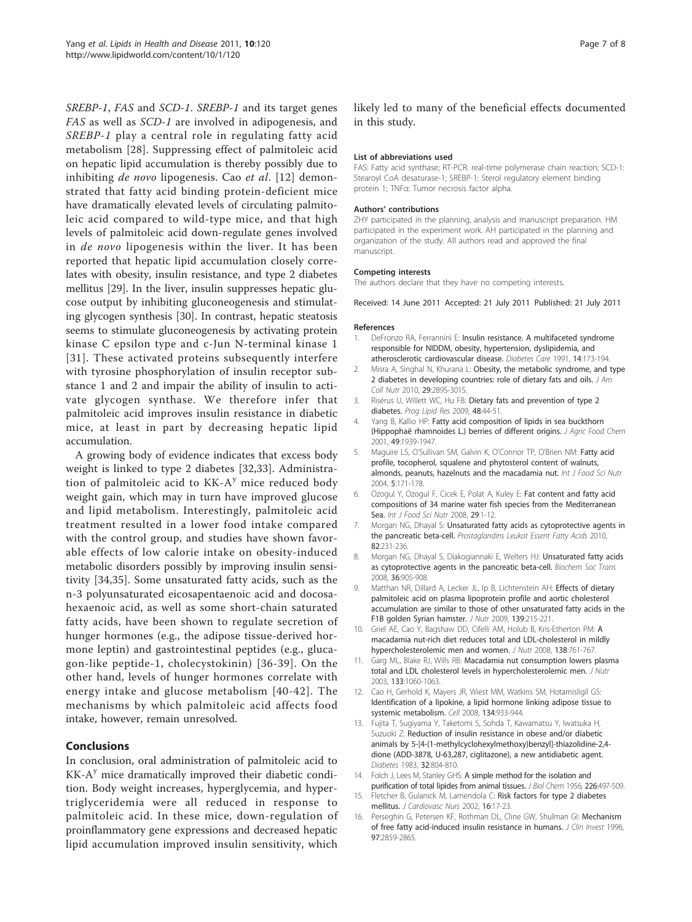<span id="page-6-0"></span>SREBP-1, FAS and SCD-1. SREBP-1 and its target genes FAS as well as SCD-1 are involved in adipogenesis, and SREBP-1 play a central role in regulating fatty acid metabolism [\[28](#page-7-0)]. Suppressing effect of palmitoleic acid on hepatic lipid accumulation is thereby possibly due to inhibiting de novo lipogenesis. Cao et al. [12] demonstrated that fatty acid binding protein-deficient mice have dramatically elevated levels of circulating palmitoleic acid compared to wild-type mice, and that high levels of palmitoleic acid down-regulate genes involved in de novo lipogenesis within the liver. It has been reported that hepatic lipid accumulation closely correlates with obesity, insulin resistance, and type 2 diabetes mellitus [\[29](#page-7-0)]. In the liver, insulin suppresses hepatic glucose output by inhibiting gluconeogenesis and stimulating glycogen synthesis [[30](#page-7-0)]. In contrast, hepatic steatosis seems to stimulate gluconeogenesis by activating protein kinase C epsilon type and c-Jun N-terminal kinase 1 [[31\]](#page-7-0). These activated proteins subsequently interfere with tyrosine phosphorylation of insulin receptor substance 1 and 2 and impair the ability of insulin to activate glycogen synthase. We therefore infer that palmitoleic acid improves insulin resistance in diabetic mice, at least in part by decreasing hepatic lipid accumulation.

A growing body of evidence indicates that excess body weight is linked to type 2 diabetes [[32,33](#page-7-0)]. Administration of palmitoleic acid to  $KK-A<sup>y</sup>$  mice reduced body weight gain, which may in turn have improved glucose and lipid metabolism. Interestingly, palmitoleic acid treatment resulted in a lower food intake compared with the control group, and studies have shown favorable effects of low calorie intake on obesity-induced metabolic disorders possibly by improving insulin sensitivity [\[34](#page-7-0),[35\]](#page-7-0). Some unsaturated fatty acids, such as the n-3 polyunsaturated eicosapentaenoic acid and docosahexaenoic acid, as well as some short-chain saturated fatty acids, have been shown to regulate secretion of hunger hormones (e.g., the adipose tissue-derived hormone leptin) and gastrointestinal peptides (e.g., glucagon-like peptide-1, cholecystokinin) [[36](#page-7-0)-[39\]](#page-7-0). On the other hand, levels of hunger hormones correlate with energy intake and glucose metabolism [[40-42](#page-7-0)]. The mechanisms by which palmitoleic acid affects food intake, however, remain unresolved.

# Conclusions

In conclusion, oral administration of palmitoleic acid to  $KK-A<sup>y</sup>$  mice dramatically improved their diabetic condition. Body weight increases, hyperglycemia, and hypertriglyceridemia were all reduced in response to palmitoleic acid. In these mice, down-regulation of proinflammatory gene expressions and decreased hepatic lipid accumulation improved insulin sensitivity, which likely led to many of the beneficial effects documented in this study.

#### List of abbreviations used

FAS: Fatty acid synthase; RT-PCR: real-time polymerase chain reaction; SCD-1: Stearoyl CoA desaturase-1; SREBP-1: Sterol regulatory element binding protein 1; TNFα: Tumor necrosis factor alpha.

#### Authors' contributions

ZHY participated in the planning, analysis and manuscript preparation. HM participated in the experiment work. AH participated in the planning and organization of the study. All authors read and approved the final manuscript.

#### Competing interests

The authors declare that they have no competing interests.

Received: 14 June 2011 Accepted: 21 July 2011 Published: 21 July 2011

#### References

- DeFronzo RA, Ferrannini E: [Insulin resistance. A multifaceted syndrome](http://www.ncbi.nlm.nih.gov/pubmed/2044434?dopt=Abstract) [responsible for NIDDM, obesity, hypertension, dyslipidemia, and](http://www.ncbi.nlm.nih.gov/pubmed/2044434?dopt=Abstract) [atherosclerotic cardiovascular disease.](http://www.ncbi.nlm.nih.gov/pubmed/2044434?dopt=Abstract) Diabetes Care 1991, 14:173-194.
- 2. Misra A, Singhal N, Khurana L: [Obesity, the metabolic syndrome, and type](http://www.ncbi.nlm.nih.gov/pubmed/20823489?dopt=Abstract) [2 diabetes in developing countries: role of dietary fats and oils.](http://www.ncbi.nlm.nih.gov/pubmed/20823489?dopt=Abstract) J Am Coll Nutr 2010, 29:289S-301S.
- 3. Risérus U, Willett WC, Hu FB: [Dietary fats and prevention of type 2](http://www.ncbi.nlm.nih.gov/pubmed/19032965?dopt=Abstract) [diabetes.](http://www.ncbi.nlm.nih.gov/pubmed/19032965?dopt=Abstract) Prog Lipid Res 2009, 48:44-51.
- Yang B, Kallio HP: [Fatty acid composition of lipids in sea buckthorn](http://www.ncbi.nlm.nih.gov/pubmed/11308350?dopt=Abstract) [\(Hippophaë rhamnoides L.\) berries of different origins.](http://www.ncbi.nlm.nih.gov/pubmed/11308350?dopt=Abstract) J Agric Food Chem 2001, 49:1939-1947.
- 5. Maguire LS, O'Sullivan SM, Galvin K, O'Connor TP, O'Brien NM: Fatty acid profile, tocopherol, squalene and phytosterol content of walnuts, almonds, peanuts, hazelnuts and the macadamia nut. Int J Food Sci Nutr 2004, 5:171-178.
- 6. Ozogul Y, Ozogul F, Cicek E, Polat A, Kuley E: Fat content and fatty acid compositions of 34 marine water fish species from the Mediterranean Sea. Int J Food Sci Nutr 2008, 29:1-12.
- 7. Morgan NG, Dhayal S: [Unsaturated fatty acids as cytoprotective agents in](http://www.ncbi.nlm.nih.gov/pubmed/20206490?dopt=Abstract) [the pancreatic beta-cell.](http://www.ncbi.nlm.nih.gov/pubmed/20206490?dopt=Abstract) Prostaglandins Leukot Essent Fatty Acids 2010, 82:231-236.
- 8. Morgan NG, Dhayal S, Diakogiannaki E, Welters HJ: [Unsaturated fatty acids](http://www.ncbi.nlm.nih.gov/pubmed/18793159?dopt=Abstract) [as cytoprotective agents in the pancreatic beta-cell.](http://www.ncbi.nlm.nih.gov/pubmed/18793159?dopt=Abstract) Biochem Soc Trans 2008, 36:905-908.
- 9. Matthan NR, Dillard A, Lecker JL, Ip B, Lichtenstein AH: [Effects of dietary](http://www.ncbi.nlm.nih.gov/pubmed/19106316?dopt=Abstract) [palmitoleic acid on plasma lipoprotein profile and aortic cholesterol](http://www.ncbi.nlm.nih.gov/pubmed/19106316?dopt=Abstract) [accumulation are similar to those of other unsaturated fatty acids in the](http://www.ncbi.nlm.nih.gov/pubmed/19106316?dopt=Abstract) [F1B golden Syrian hamster.](http://www.ncbi.nlm.nih.gov/pubmed/19106316?dopt=Abstract) J Nutr 2009, 139:215-221.
- 10. Griel AE, Cao Y, Bagshaw DD, Cifelli AM, Holub B, Kris-Etherton PM: [A](http://www.ncbi.nlm.nih.gov/pubmed/18356332?dopt=Abstract) [macadamia nut-rich diet reduces total and LDL-cholesterol in mildly](http://www.ncbi.nlm.nih.gov/pubmed/18356332?dopt=Abstract) [hypercholesterolemic men and women.](http://www.ncbi.nlm.nih.gov/pubmed/18356332?dopt=Abstract) J Nutr 2008, 138:761-767.
- 11. Garg ML, Blake RJ, Wills RB: [Macadamia nut consumption lowers plasma](http://www.ncbi.nlm.nih.gov/pubmed/12672919?dopt=Abstract) [total and LDL cholesterol levels in hypercholesterolemic men.](http://www.ncbi.nlm.nih.gov/pubmed/12672919?dopt=Abstract) J Nutr 2003, 133:1060-1063.
- 12. Cao H, Gerhold K, Mayers JR, Wiest MM, Watkins SM, Hotamisligil GS: [Identification of a lipokine, a lipid hormone linking adipose tissue to](http://www.ncbi.nlm.nih.gov/pubmed/18805087?dopt=Abstract) [systemic metabolism.](http://www.ncbi.nlm.nih.gov/pubmed/18805087?dopt=Abstract) Cell 2008, 134:933-944.
- 13. Fujita T, Sugiyama Y, Taketomi S, Sohda T, Kawamatsu Y, Iwatsuka H, Suzuoki Z: [Reduction of insulin resistance in obese and/or diabetic](http://www.ncbi.nlm.nih.gov/pubmed/6354788?dopt=Abstract) [animals by 5-\[4-\(1-methylcyclohexylmethoxy\)benzyl\]-thiazolidine-2,4](http://www.ncbi.nlm.nih.gov/pubmed/6354788?dopt=Abstract) [dione \(ADD-3878, U-63,287, ciglitazone\), a new antidiabetic agent.](http://www.ncbi.nlm.nih.gov/pubmed/6354788?dopt=Abstract) Diabetes 1983, 32:804-810.
- 14. Folch J, Lees M, Stanley GHS: A simple method for the isolation and purification of total lipides from animal tissues. J Biol Chem 1956, 226:497-509.
- 15. Fletcher B, Gulanick M, Lamendola C: [Risk factors for type 2 diabetes](http://www.ncbi.nlm.nih.gov/pubmed/11800065?dopt=Abstract) [mellitus.](http://www.ncbi.nlm.nih.gov/pubmed/11800065?dopt=Abstract) J Cardiovasc Nurs 2002, 16:17-23.
- 16. Perseghin G, Petersen KF, Rothman DL, Cline GW, Shulman Gl: [Mechanism](http://www.ncbi.nlm.nih.gov/pubmed/8675698?dopt=Abstract) [of free fatty acid-induced insulin resistance in humans.](http://www.ncbi.nlm.nih.gov/pubmed/8675698?dopt=Abstract) *J Clin Invest* 1996, 97:2859-2865.